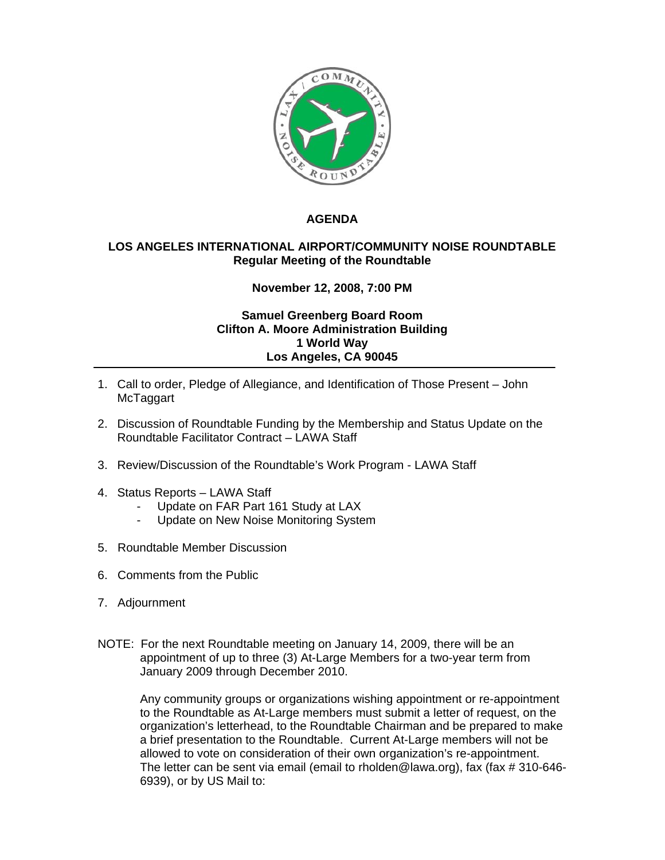

## **AGENDA**

## **LOS ANGELES INTERNATIONAL AIRPORT/COMMUNITY NOISE ROUNDTABLE Regular Meeting of the Roundtable**

## **November 12, 2008, 7:00 PM**

## **Samuel Greenberg Board Room Clifton A. Moore Administration Building 1 World Way Los Angeles, CA 90045**

- 1. Call to order, Pledge of Allegiance, and Identification of Those Present John McTaggart
- 2. Discussion of Roundtable Funding by the Membership and Status Update on the Roundtable Facilitator Contract – LAWA Staff
- 3. Review/Discussion of the Roundtable's Work Program LAWA Staff
- 4. Status Reports LAWA Staff
	- Update on FAR Part 161 Study at LAX
	- Update on New Noise Monitoring System
- 5. Roundtable Member Discussion
- 6. Comments from the Public
- 7. Adjournment
- NOTE: For the next Roundtable meeting on January 14, 2009, there will be an appointment of up to three (3) At-Large Members for a two-year term from January 2009 through December 2010.

Any community groups or organizations wishing appointment or re-appointment to the Roundtable as At-Large members must submit a letter of request, on the organization's letterhead, to the Roundtable Chairman and be prepared to make a brief presentation to the Roundtable. Current At-Large members will not be allowed to vote on consideration of their own organization's re-appointment. The letter can be sent via email (email to rholden@lawa.org), fax (fax # 310-646- 6939), or by US Mail to: